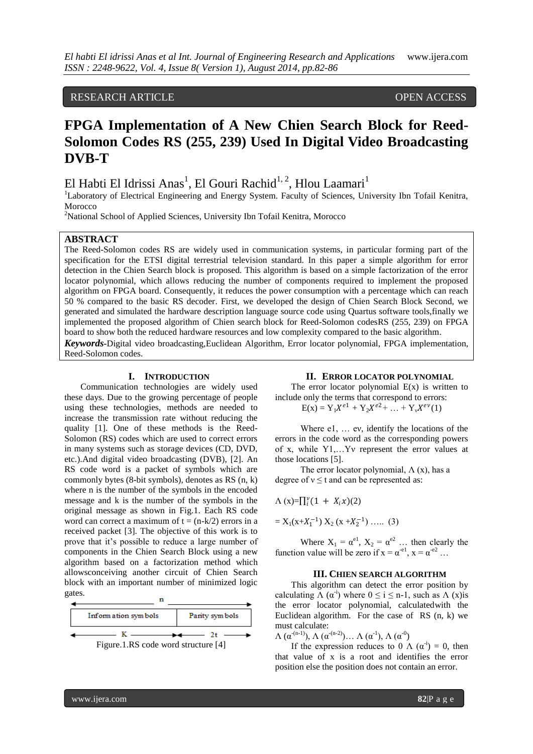## RESEARCH ARTICLE OPEN ACCESS

# **FPGA Implementation of A New Chien Search Block for Reed-Solomon Codes RS (255, 239) Used In Digital Video Broadcasting DVB-T**

## El Habti El Idrissi Anas<sup>1</sup>, El Gouri Rachid<sup>1, 2</sup>, Hlou Laamari<sup>1</sup>

<sup>1</sup>Laboratory of Electrical Engineering and Energy System. Faculty of Sciences, University Ibn Tofail Kenitra, Morocco

<sup>2</sup>National School of Applied Sciences, University Ibn Tofail Kenitra, Morocco

## **ABSTRACT**

The Reed-Solomon codes RS are widely used in communication systems, in particular forming part of the specification for the ETSI digital terrestrial television standard. In this paper a simple algorithm for error detection in the Chien Search block is proposed. This algorithm is based on a simple factorization of the error locator polynomial, which allows reducing the number of components required to implement the proposed algorithm on FPGA board. Consequently, it reduces the power consumption with a percentage which can reach 50 % compared to the basic RS decoder. First, we developed the design of Chien Search Block Second, we generated and simulated the hardware description language source code using Quartus software tools,finally we implemented the proposed algorithm of Chien search block for Reed-Solomon codesRS (255, 239) on FPGA board to show both the reduced hardware resources and low complexity compared to the basic algorithm. *Keywords***-**Digital video broadcasting,Euclidean Algorithm, Error locator polynomial, FPGA implementation, Reed-Solomon codes.

#### **I. INTRODUCTION**

Communication technologies are widely used these days. Due to the growing percentage of people using these technologies, methods are needed to increase the transmission rate without reducing the quality [1]. One of these methods is the Reed-Solomon (RS) codes which are used to correct errors in many systems such as storage devices (CD, DVD, etc.).And digital video broadcasting (DVB), [2]. An RS code word is a packet of symbols which are commonly bytes (8-bit symbols), denotes as RS (n, k) where n is the number of the symbols in the encoded message and k is the number of the symbols in the original message as shown in Fig.1. Each RS code word can correct a maximum of  $t = (n-k/2)$  errors in a received packet [3]. The objective of this work is to prove that it's possible to reduce a large number of components in the Chien Search Block using a new algorithm based on a factorization method which allowsconceiving another circuit of Chien Search block with an important number of minimized logic gates.



#### **II. ERROR LOCATOR POLYNOMIAL**

The error locator polynomial  $E(x)$  is written to include only the terms that correspond to errors:

 $E(x) = Y_1 X^{e1} + Y_2 X^{e2} + ... + Y_v X^{ev}(1)$ 

Where e1, … eν, identify the locations of the errors in the code word as the corresponding powers of x, while Y1,…Yν represent the error values at those locations [5].

The error locator polynomial,  $\Lambda(x)$ , has a degree of  $v \le t$  and can be represented as:

$$
\Lambda(x)=\prod_i^{\nu}(1 + X_ix)(2)
$$

$$
= X_1(x+X_1^{-1}) X_2 (x+X_2^{-1}) \dots . (3)
$$

Where  $X_1 = \alpha^{e1}$ ,  $X_2 = \alpha^{e2}$  ... then clearly the function value will be zero if  $x = \alpha^{e1}$ ,  $x = \alpha^{e2}$ ...

#### **III. CHIEN SEARCH ALGORITHM**

This algorithm can detect the error position by calculating  $\Lambda$  ( $\alpha^{i}$ ) where  $0 \le i \le n-1$ , such as  $\Lambda$  (x)is the error locator polynomial, calculatedwith the Euclidean algorithm. For the case of RS (n, k) we must calculate:

 $\Lambda$  ( $\alpha^{-(n-1)}$ ),  $\Lambda$  ( $\alpha^{-(n-2)}$ )...  $\Lambda$  ( $\alpha^{-1}$ ),  $\Lambda$  ( $\alpha^{-0}$ )

If the expression reduces to 0  $\Lambda$  ( $\alpha$ <sup>-i</sup>) = 0, then that value of x is a root and identifies the error position else the position does not contain an error.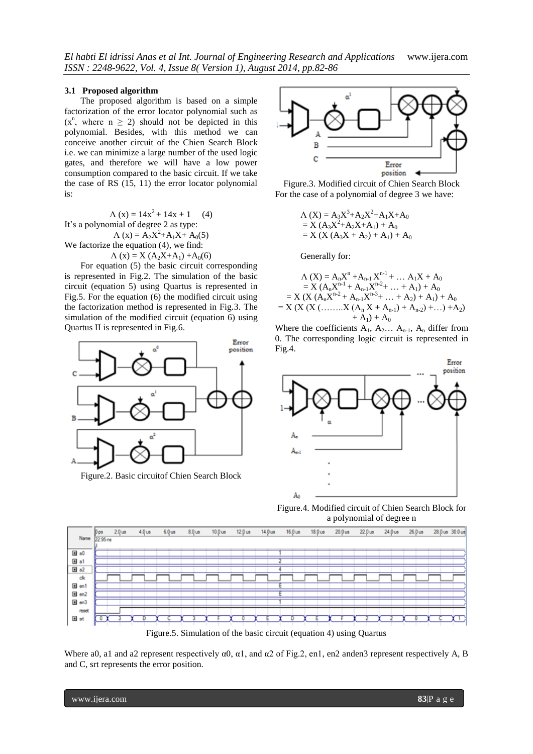#### **3.1 Proposed algorithm**

The proposed algorithm is based on a simple factorization of the error locator polynomial such as  $(x^n,$  where  $n \ge 2$ ) should not be depicted in this polynomial. Besides, with this method we can conceive another circuit of the Chien Search Block i.e. we can minimize a large number of the used logic gates, and therefore we will have a low power consumption compared to the basic circuit. If we take the case of RS (15, 11) the error locator polynomial is:

 $\Lambda$  (x) = 14x<sup>2</sup> + 14x + 1 (4) It's a polynomial of degree 2 as type:  $\Lambda$  (x) = A<sub>2</sub>X<sup>2</sup>+A<sub>1</sub>X+ A<sub>0</sub>(5) We factorize the equation (4), we find:

 $\Lambda$  (x) = X (A<sub>2</sub>X+A<sub>1</sub>) +A<sub>0</sub>(6)

For equation (5) the basic circuit corresponding is represented in Fig.2. The simulation of the basic circuit (equation 5) using Quartus is represented in Fig.5. For the equation (6) the modified circuit using the factorization method is represented in Fig.3. The simulation of the modified circuit (equation 6) using Quartus II is represented in Fig.6.



Figure.2. Basic circuitof Chien Search Block



Figure.3. Modified circuit of Chien Search Block For the case of a polynomial of degree 3 we have:

$$
\begin{aligned} \Lambda \text{ (X)} &= A_3 X^3 + A_2 X^2 + A_1 X + A_0 \\ &= X \text{ (} A_3 X^2 + A_2 X + A_1 \text{)} + A_0 \\ &= X \text{ (} X \text{ (} A_3 X + A_2 \text{)} + A_1 \text{)} + A_0 \end{aligned}
$$

Generally for:

$$
\begin{aligned} \Lambda\left(X\right) &= A_n X^n + A_{n-1} X^{n-1} + \dots A_1 X + A_0 \\ &= X \left(A_n X^{n-1} + A_{n-1} X^{n-2} + \dots + A_1\right) + A_0 \\ &= X \left(X \left(A_n X^{n-2} + A_{n-1} X^{n-3} + \dots + A_2\right) + A_1\right) + A_0 \\ &= X \left(X \left(X \left( \dots \dots X \left(A_n X + A_{n-1}\right) + A_{n-2}\right) + \dots\right) + A_2\right) \\ &\quad + A_1\right) + A_0 \end{aligned}
$$

Where the coefficients  $A_1$ ,  $A_2$ ...  $A_{n-1}$ ,  $A_n$  differ from 0. The corresponding logic circuit is represented in Fig.4.



Figure.4. Modified circuit of Chien Search Block for a polynomial of degree n



Where a0, a1 and a2 represent respectively  $\alpha$ 0,  $\alpha$ 1, and  $\alpha$ 2 of Fig.2, en1, en2 anden3 represent respectively A, B and C, srt represents the error position.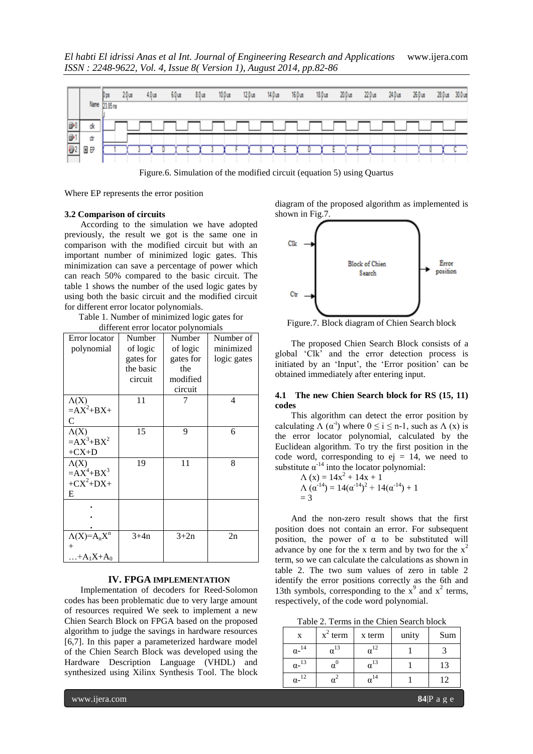*El habti El idrissi Anas et al Int. Journal of Engineering Research and Applications* www.ijera.com *ISSN : 2248-9622, Vol. 4, Issue 8( Version 1), August 2014, pp.82-86*



Figure.6. Simulation of the modified circuit (equation 5) using Quartus

Where EP represents the error position

#### **3.2 Comparison of circuits**

According to the simulation we have adopted previously, the result we got is the same one in comparison with the modified circuit but with an important number of minimized logic gates. This minimization can save a percentage of power which can reach 50% compared to the basic circuit. The table 1 shows the number of the used logic gates by using both the basic circuit and the modified circuit for different error locator polynomials.

Table 1. Number of minimized logic gates for different error locator polynomials

| Error locator<br>polynomial                      | Number<br>of logic<br>gates for<br>the basic<br>circuit | Number<br>of logic<br>gates for<br>the<br>modified<br>circuit | Number of<br>minimized<br>logic gates |
|--------------------------------------------------|---------------------------------------------------------|---------------------------------------------------------------|---------------------------------------|
| $\Lambda(X)$<br>$=AX^2+BX+$<br>C                 | 11                                                      |                                                               | 4                                     |
| $\Lambda(X)$<br>$=AX^3+BX^2$<br>$+CX+D$          | 15                                                      | 9                                                             | 6                                     |
| $\Lambda(X)$<br>$=AX^4+BX^3$<br>$+CX^2+DX+$<br>Е | 19                                                      | 11                                                            | 8                                     |
|                                                  |                                                         |                                                               |                                       |
| $\Lambda(X)=A_nX^n$<br>$^{+}$<br>$+A_1X+A_0$     | $3+4n$                                                  | $3+2n$                                                        | 2n                                    |

#### **IV. FPGA IMPLEMENTATION**

Implementation of decoders for Reed-Solomon codes has been problematic due to very large amount of resources required We seek to implement a new Chien Search Block on FPGA based on the proposed algorithm to judge the savings in hardware resources [6,7]. In this paper a parameterized hardware model of the Chien Search Block was developed using the Hardware Description Language (VHDL) and synthesized using Xilinx Synthesis Tool. The block diagram of the proposed algorithm as implemented is shown in Fig.7.



Figure.7. Block diagram of Chien Search block

The proposed Chien Search Block consists of a global 'Clk' and the error detection process is initiated by an 'Input', the 'Error position' can be obtained immediately after entering input.

#### **4.1 The new Chien Search block for RS (15, 11) codes**

This algorithm can detect the error position by calculating  $\Lambda(\alpha^i)$  where  $0 \le i \le n-1$ , such as  $\Lambda(x)$  is the error locator polynomial, calculated by the Euclidean algorithm. To try the first position in the code word, corresponding to  $ej = 14$ , we need to substitute  $\alpha^{-14}$  into the locator polynomial:

$$
\begin{aligned} \Lambda \left( x \right) &= 14x^2 + 14x + 1 \\ \Lambda \left( \alpha^{-14} \right) &= 14(\alpha^{-14})^2 + 14(\alpha^{-14}) + 1 \\ &= 3 \end{aligned}
$$

And the non-zero result shows that the first position does not contain an error. For subsequent position, the power of  $\alpha$  to be substituted will advance by one for the x term and by two for the  $x^2$ term, so we can calculate the calculations as shown in table 2. The two sum values of zero in table 2 identify the error positions correctly as the 6th and 13th symbols, corresponding to the  $x^9$  and  $x^2$  terms, respectively, of the code word polynomial.

Table 2. Terms in the Chien Search block

| X                        | $x^2$ term | x term | unity | Sum |
|--------------------------|------------|--------|-------|-----|
| $\alpha$ - <sup>14</sup> |            |        |       |     |
| $\alpha$ - <sup>13</sup> |            |        |       | 13  |
| 12<br>α-                 |            |        |       | 12  |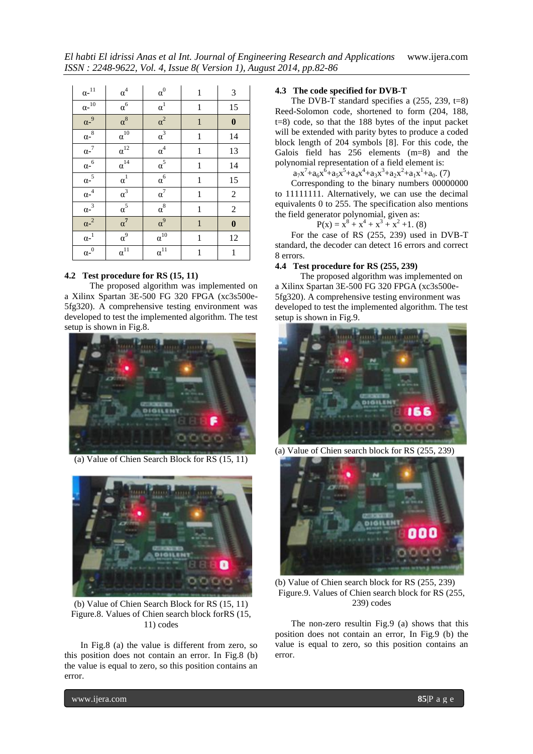*El habti El idrissi Anas et al Int. Journal of Engineering Research and Applications* www.ijera.com *ISSN : 2248-9622, Vol. 4, Issue 8( Version 1), August 2014, pp.82-86*

| $\alpha\text{-}^{11}$ | $\alpha^4$    | $\alpha^0$            | $\mathbf{1}$ | 3                |
|-----------------------|---------------|-----------------------|--------------|------------------|
| $\alpha^{-10}$        | $\alpha^6$    | $\alpha^1$            | $\mathbf{1}$ | 15               |
| $\alpha^{-9}$         | $\alpha^8$    | $\alpha^2$            | $\mathbf{1}$ | $\boldsymbol{0}$ |
| $\alpha^{-8}$         | $\alpha^{10}$ | $\overline{\alpha^3}$ | $\mathbf{1}$ | 14               |
| $\alpha^{-7}$         | $\alpha^{12}$ | $\overline{\alpha^4}$ | $\mathbf{1}$ | 13               |
| $\alpha^{-6}$         | $\alpha^{14}$ | $\alpha^5$            | 1            | 14               |
| $\alpha^{-5}$         | $\alpha^1$    | $\alpha^6$            | $\mathbf{1}$ | 15               |
| $\alpha^{-4}$         | $\alpha^3$    | $\alpha^7$            | $\mathbf{1}$ | $\sqrt{2}$       |
| $\alpha^{-3}$         | $\alpha^5$    | $\alpha^8$            | $\mathbf{1}$ | $\sqrt{2}$       |
| ${\alpha^{-2}}$       | $\alpha^7$    | $\alpha^9$            | $\mathbf{1}$ | $\bf{0}$         |
| $\alpha^{-1}$         | $\alpha^9$    | $\alpha^{10}$         | $\mathbf{1}$ | 12               |
| $\alpha^{-0}$         | $\alpha^{11}$ | $\alpha^{11}$         | $\mathbf{1}$ | $\mathbf{1}$     |

## **4.2 Test procedure for RS (15, 11)**

The proposed algorithm was implemented on a Xilinx Spartan 3E-500 FG 320 FPGA (xc3s500e-5fg320). A comprehensive testing environment was developed to test the implemented algorithm. The test setup is shown in Fig.8.



(a) Value of Chien Search Block for RS (15, 11)



(b) Value of Chien Search Block for RS (15, 11) Figure.8. Values of Chien search block forRS (15, 11) codes

In Fig.8 (a) the value is different from zero, so this position does not contain an error. In Fig.8 (b) the value is equal to zero, so this position contains an error.

#### **4.3 The code specified for DVB-T**

The DVB-T standard specifies a  $(255, 239, t=8)$ Reed-Solomon code, shortened to form (204, 188, t=8) code, so that the 188 bytes of the input packet will be extended with parity bytes to produce a coded block length of 204 symbols [8]. For this code, the Galois field has 256 elements (m=8) and the polynomial representation of a field element is:

 $a_7x^7 + a_6x^6 + a_5x^5 + a_4x^4 + a_3x^3 + a_2x^2 + a_1x^1 + a_0$ . (7)

Corresponding to the binary numbers 00000000 to 11111111. Alternatively, we can use the decimal equivalents 0 to 255. The specification also mentions the field generator polynomial, given as:

 $P(x) = x^8 + x^4 + x^3 + x^2 + 1$ . (8)

For the case of RS (255, 239) used in DVB-T standard, the decoder can detect 16 errors and correct 8 errors.

#### **4.4 Test procedure for RS (255, 239)**

The proposed algorithm was implemented on a Xilinx Spartan 3E-500 FG 320 FPGA (xc3s500e-5fg320). A comprehensive testing environment was developed to test the implemented algorithm. The test setup is shown in Fig.9.



(a) Value of Chien search block for RS (255, 239)



(b) Value of Chien search block for RS (255, 239) Figure.9. Values of Chien search block for RS (255, 239) codes

The non-zero resultin Fig.9 (a) shows that this position does not contain an error, In Fig.9 (b) the value is equal to zero, so this position contains an error.